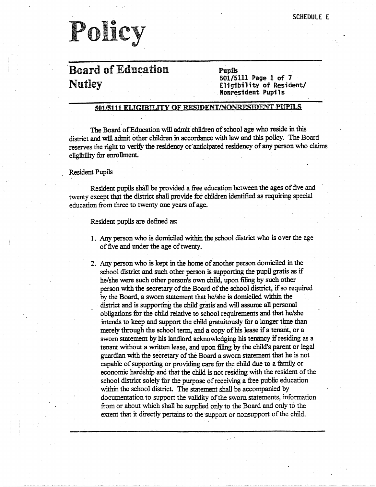### 'Board of Education. Nutley

Pupils 501/5111 Page 1 of 7 Eligibility cf Resident/ **Nonresident Pupils** 

#### 501/5111 ELIGIBILITY OF RESIDENT/NONRESIDENT PUPILS

The Board of Education will admit children of school age who reside in this district and will admit other children in accordance with law and this policy. The Board reserves the right to verify the residency or 'anticipated residency of any person who claims eligibility for enrollment:

#### Resident Pupils

Resident pupils shall be provided a free education between the ages of five and twenty except that the district shall provide for children identified as requiring special education from three to twenty one years of age.

Resident pupils are defined as:

- 1. Any person who is domiciled within the school district who is over the age of five and under the age of twenty.
- 2. Any person who is kept in the home of another person domiciled in the school district and such other person is supporting the pupil gratis as if he/she were such other person's own child, upon filing by such other person with the secretary of the Board of the school district, if so required by the Board, a sworn statement that he/she is domiciled within the district and is supporting the child gratis and will assume all personal .obligations for the child relative to school requirements and that he/she intends to keep and support the child gratuitously for a longer time than merely through the school term, and a copy of his lease if a tenant, or a swam statement by his landlord acknowledging his tenancy if residing as a tenant without a written lease, and upon filing by the child's parent or legal guardian with the secretary of the Board a sworn statement that he is not capable of supporting or providing care for the child due to a family or economic hardship and that the child is not residing with the resident of the school district solely for the purpose of receiving a free public education within the school district. The statement shall be accompanied by documentation to support the validity of the swomstatements, information from or about which shall be supplied only to the Board and only to the extent that it directly pertains to the support or nonsupport of the child.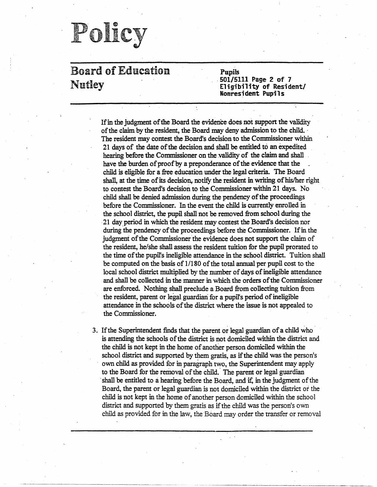### Board of Education Nutley

Pupils 501/5111 Page 2 of 7 Eligibility of Resident/ **Nonresident Pupils** 

If in the judgment of the Board the evidence does. not support the validity of the claim by the resident, the Board may deny admission to the child. · The resident may contest the Board's decision to the Commissioner within 21 days of the date of the decision and shall be entitled to an expedited hearing before the Commissioner on the validity of the claim and shall have the burden of proof by a preponderance of the evidence that the child is eligible for a free education under the legal criteria. The Board shall, at the time of its decision, notify the resident in writing of his/her right. to contest the Board's decision to the Commissioner within 21 days. No child shall be denied admission during the pendency of the proceedings before the Commissioner. In the event the child is currently enrolled in the school district, the pupil shall not be removed from school during the 21 day period in which the resident may contest the Board's decision nor during the pendency of the proceedings before the Commissioner. If in the judgment of the Commissioner the evidence does not support the claim of the resident, he/she shall assess the resident tuition for the pupil prorated to the time of the pupil's ineligible attendance in the school district. Tuition shall be computed on the basis of 1/180 of the total annual per pupil cost to the local school district multiplied by the number of days of ineligible attendance and shall be collected in the manner in which the orders of the Commissioner are enforced. Nothing shall preclude a Board from collecting tuition from the resident, parent or legal guardian for a pupil's period of ineligible attendance in the schools of the district where the issue is not appealed to the Commissioner.

3. If the Superintendent finds that the parent or legal guardian of a child who is attending the schools of the district is not domiciled within the district and the child is not kept in the home of another person domiciled within the school district and supported by them gratis, as if the child was the person's own child as provided for in paragraph two, the Superintendent may apply to the Board for the removal of the child. The parent or legal guardian shall be entitled to a hearing before the Board, and if, in the judgment of the Board, the parent or legal guardian is not domiciled within the district or the child is not kept in the home of another person domiciled within the school district and supported by them gratis as if the child was the person's own child as provided for in the Jaw, the Board may order the transfer or removal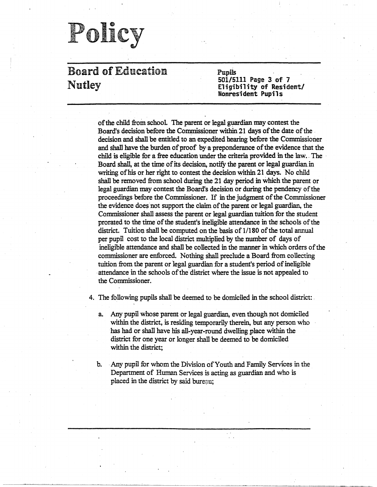### Board of Education Nutley

Pupils 501/5111 Page 3 of 7 El;gibility of Resident/ **Nonresident Pupils** 

of the child from school. The parent or legal guardian may contest the Board's decision before the Commissioner within 21 days of the date of the . decision and shall be entitled to an expedited hearing before the Commissioner and shall have the burden of proof by:a preponderance of the evidence that the child is eligible for a free education under the criteria provided in the law. The Board shall, at the time of its decision, notify the parent or legal guardian in writing of his or her right to contest the decision within 21 days. No child shall be removed from school during the 21 day period in which the parent or legal guardian inay contest the Board's decision or during the pendency of the proceedings before the Commissioner. If in the judgment of the Conunissioner the evidence does not support the claim of the parent or legal guardian, the Commissioner shall assess the parent or legal guardian tuition for the student prorated to the time.of the student's ineligible attendance in the schools of the district. Tuition shall be computed on the basis of 1/180 of the total annual per pupil cost to the local district multiplied by the number of days of ineligible attendance and shall be collected in the manner in which orders of the commissioner are enforced. Nothing shall preclude a Board from collecting tuition from the parent or legal guardian for a student's period of ineligible attendance in the schools of the district where the issue is not appealed to the Commissioner.

4. The following pupils shall be deemed to be domiciled in the school district: .

- a. Any pupil whose parent or legal guardian, even though not domiciled within the district, is residing temporarily therein, but any person who has had or shall have his all-year-round dwelling \_place within the district for one year or longer shall be deemed io be domiciled within the district;
- b. Any pupil for whom the Division of Youth and Family Services in the Department of Human Services is acting as guardian and who is placed in the district by said bureau;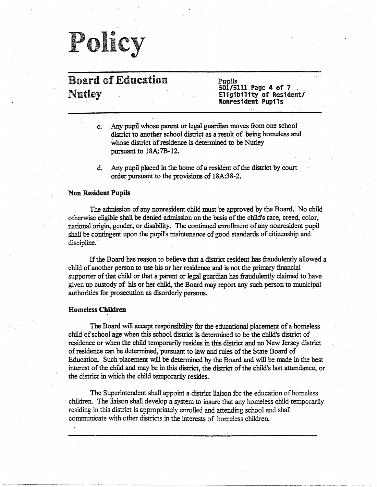### Board of Education . Nutley

Pupils · 501/5111 . Page 4 of 7 . **Eligibility of** Resident/ **Nonresident Pupils** 

- c. Any pupil whose parent or legal guardian moves from one school district to another school district as a result of being homeless and whose district of residence is determined to be Nutley pursuant to 18A:7B-12.
- d. Any pupil placed in the home of a resident of the district by court order pursuant to the provisions of 18A:38-2.

#### Non Resident **Pupils**

The admission of any nonresident child must be approved by the Board. No child otherwise eligible shall be denied admission on the basis of the child's race, creed, color, national origin, gender, or disability. The continued enrollment of any nonresident pupil shall be contingent upon the pupil's maintenance of good standards of citizenship and discipline.

If the Board has reason to believe that a district resident has fraudulently allowed a child of another person to use his or her residence and is not the primary financial supporter of that child or that a parent or legal guardian has fraudulently claimed to have given up custody of his or her child, the Board may report any such person to municipal authorities for prosecution as disorderly persons.

#### **Homeless Children**

The Board will accept responsibility for the educational placement of a homeless child of school age when this school district is determined to be the child's district of residence or when the child temporarily resides in this district and no New Jersey district of residence can be determined, pursuant to law and rules of the State Board of Education. Such placement will be determined by the Board and will be made in the best interest of the child and may be in this district, the district of the child's last attendance, or the district in which the child temporarily resides.

The Superintendent shall appoint a district liaison for the education of homeless children. . The liaison shall develop a system to insure that any homeless child temporarily residing in this district is appropriately enrolled and attending school and shall communicate with other districts in the interests of homeless children.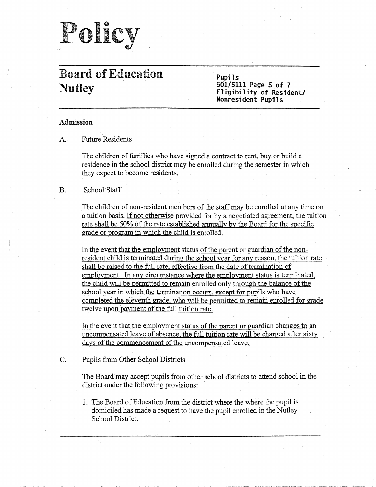

### · Board of Education Nutley

**Pupils 501/5111.Page 5 of 7**  Eligibility of Resident/ **Nonresident Pupils** 

### **Admission**

A. Future Residents

The children of families who have signed a contract to rent, buy or build a residence in the school district may be enrolled during the semester in which they expect to become residents.

### B. School Staff

The children of non-resident members of the staff may be enrolled at any time on a tuition basis. If not otherwise provided for by a negotiated agreement, the tuition rate shall be 50% of the rate established annually by the Board for the specific grade or program in which the child is enrolled.

In the event that the employment status of the parent or guardian of the nonresident child is terminated during the school year for any reason, the tuition rate shall be raised to the full rate, effective from the date of termination of employment. In any circumstance where the employment status is terminated, the child will be permitted to remain enrolled only through the balance of the school year in which the termination occurs, except for pupils who have completed the eleventh grade, who will be permitted to remain enrolled for grade twelve upon payment of the full tuition rate.

In the event that the employment status of the parent or guardian changes to an uncompensated leave of absence, the full tuition rate will be charged after sixty days of the commencement of the uncompensated leave.

C. Pupils from Other School Districts

The Board may accept pupils from other school districts to attend school in the district under the following provisions:

1. The Board of Education from the district where the where the pupil is domiciled has made a request to have the pupil enrolled in the Nutley School District.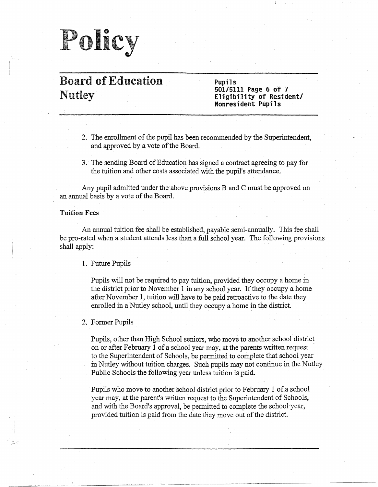## Polic olicy

### Board of Education Nutley

**Pupils 501/5111 Page 6 of 7 Eligibility of Resident/ Nonresident Pupils** 

- 2. The enrollment of the pupil has been recommended by the Superintendent, and approved by a vote of the Board.
- 3. The sending Board of Education has signed a contract agreeing to pay for the tuition and other costs associated with the pupil's attendance.

Any pupil admitted under the above provisions B and C must be approved on an annual basis by a vote of the Board.

#### **Tuition Fees**

~--

An annual tuition fee shall be established, payable semi-annually. This fee shall be pro-rated when a student attends less than a full school year. The following provisions shall apply:

#### I. Future Pupils

Pupils will not be required to pay tuition, provided they occupy a home in the district prior to November I in any school year. If they occupy a home after November 1, tuition will have to be paid retroactive to the date they enrolled in a Nutley school, until they occupy a home in the district.

#### 2. Former Pupils

Pupils, other than High School seniors, who move to another school district on or after February I of a school year may, at the parents written request to the Superintendent of Schools, be permitted to complete that school year in Nutley without tuition charges. Such pupils may not continue in the Nutley Public Schools the following year unless tuition is paid.

Pupils who move to another school district prior to February 1 of a school year may, at the parent's written request to the Superintendent of Schools, and with the Board's approval, be permitted to complete the school year, provided tuition is paid from the date they move out of the district.